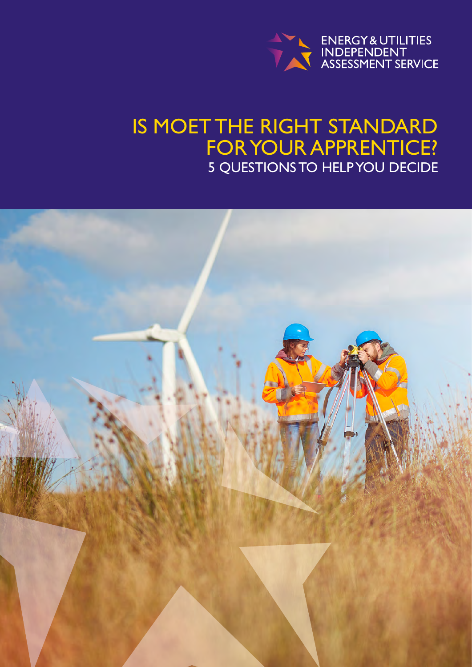

## IS MOET THE RIGHT STANDARD FOR YOUR APPRENTICE? 5 QUESTIONS TO HELP YOU DECIDE

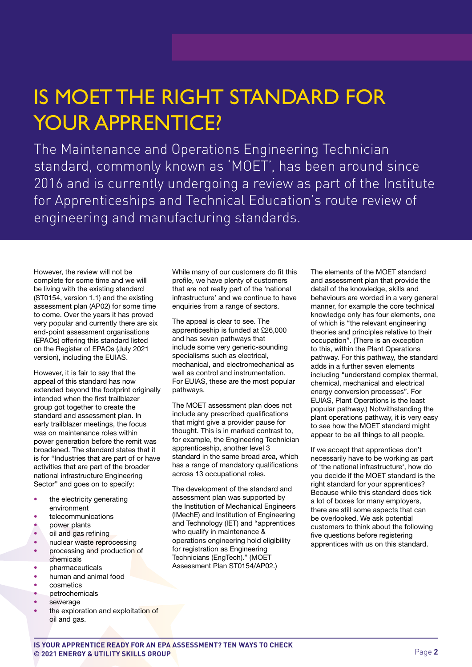# IS MOET THE RIGHT STANDARD FOR YOUR APPRENTICE?

The Maintenance and Operations Engineering Technician standard, commonly known as 'MOET', has been around since 2016 and is currently undergoing a review as part of the Institute for Apprenticeships and Technical Education's route review of engineering and manufacturing standards.

However, the review will not be complete for some time and we will be living with the existing standard (ST0154, version 1.1) and the existing assessment plan (AP02) for some time to come. Over the years it has proved very popular and currently there are six end-point assessment organisations (EPAOs) offering this standard listed on the Register of EPAOs (July 2021 version), including the EUIAS.

However, it is fair to say that the appeal of this standard has now extended beyond the footprint originally intended when the first trailblazer group got together to create the standard and assessment plan. In early trailblazer meetings, the focus was on maintenance roles within power generation before the remit was broadened. The standard states that it is for "Industries that are part of or have activities that are part of the broader national infrastructure Engineering Sector" and goes on to specify:

- the electricity generating
- environment • telecommunications
- power plants
- oil and gas refining
- nuclear waste reprocessing
- processing and production of chemicals
- *pharmaceuticals*
- human and animal food
- cosmetics
- **petrochemicals**
- sewerage
- the exploration and exploitation of oil and gas.

While many of our customers do fit this profile, we have plenty of customers that are not really part of the 'national infrastructure' and we continue to have enquiries from a range of sectors.

The appeal is clear to see. The apprenticeship is funded at £26,000 and has seven pathways that include some very generic-sounding specialisms such as electrical, mechanical, and electromechanical as well as control and instrumentation. For EUIAS, these are the most popular pathways.

The MOET assessment plan does not include any prescribed qualifications that might give a provider pause for thought. This is in marked contrast to, for example, the Engineering Technician apprenticeship, another level 3 standard in the same broad area, which has a range of mandatory qualifications across 13 occupational roles.

The development of the standard and assessment plan was supported by the Institution of Mechanical Engineers (IMechE) and Institution of Engineering and Technology (IET) and "apprentices who qualify in maintenance & operations engineering hold eligibility for registration as Engineering Technicians (EngTech)." (MOET Assessment Plan ST0154/AP02.)

The elements of the MOET standard and assessment plan that provide the detail of the knowledge, skills and behaviours are worded in a very general manner, for example the core technical knowledge only has four elements, one of which is "the relevant engineering theories and principles relative to their occupation". (There is an exception to this, within the Plant Operations pathway. For this pathway, the standard adds in a further seven elements including "understand complex thermal, chemical, mechanical and electrical energy conversion processes". For EUIAS, Plant Operations is the least popular pathway.) Notwithstanding the plant operations pathway, it is very easy to see how the MOET standard might appear to be all things to all people.

If we accept that apprentices don't necessarily have to be working as part of 'the national infrastructure', how do you decide if the MOET standard is the right standard for your apprentices? Because while this standard does tick a lot of boxes for many employers, there are still some aspects that can be overlooked. We ask potential customers to think about the following five questions before registering apprentices with us on this standard.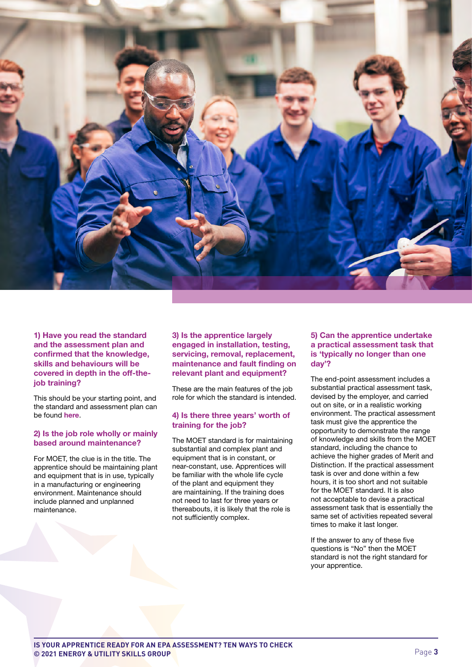

1) Have you read the standard and the assessment plan and confirmed that the knowledge, skills and behaviours will be covered in depth in the off-thejob training?

This should be your starting point, and the standard and assessment plan can be found [here](https://www.instituteforapprenticeships.org/apprenticeship-standards/maintenance-and-operations-engineering-technician-v1-1).

#### 2) Is the job role wholly or mainly based around maintenance?

For MOET, the clue is in the title. The apprentice should be maintaining plant and equipment that is in use, typically in a manufacturing or engineering environment. Maintenance should include planned and unplanned maintenance.

3) Is the apprentice largely engaged in installation, testing, servicing, removal, replacement, maintenance and fault finding on relevant plant and equipment?

These are the main features of the job role for which the standard is intended.

#### 4) Is there three years' worth of training for the job?

The MOET standard is for maintaining substantial and complex plant and equipment that is in constant, or near-constant, use. Apprentices will be familiar with the whole life cycle of the plant and equipment they are maintaining. If the training does not need to last for three years or thereabouts, it is likely that the role is not sufficiently complex.

### 5) Can the apprentice undertake a practical assessment task that is 'typically no longer than one day'?

The end-point assessment includes a substantial practical assessment task, devised by the employer, and carried out on site, or in a realistic working environment. The practical assessment task must give the apprentice the opportunity to demonstrate the range of knowledge and skills from the MOET standard, including the chance to achieve the higher grades of Merit and Distinction. If the practical assessment task is over and done within a few hours, it is too short and not suitable for the MOET standard. It is also not acceptable to devise a practical assessment task that is essentially the same set of activities repeated several times to make it last longer.

If the answer to any of these five questions is "No" then the MOET standard is not the right standard for your apprentice.